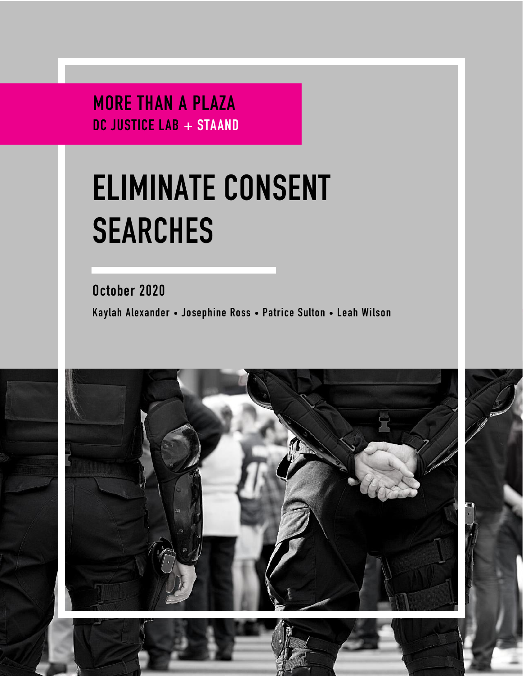MORE THAN A PLAZA DC JUSTICE LAB + STAAND

# **ELIMINATE CONSENT SEARCHES**

October 2020 Kaylah Alexander • Josephine Ross • Patrice Sulton • Leah Wilson



1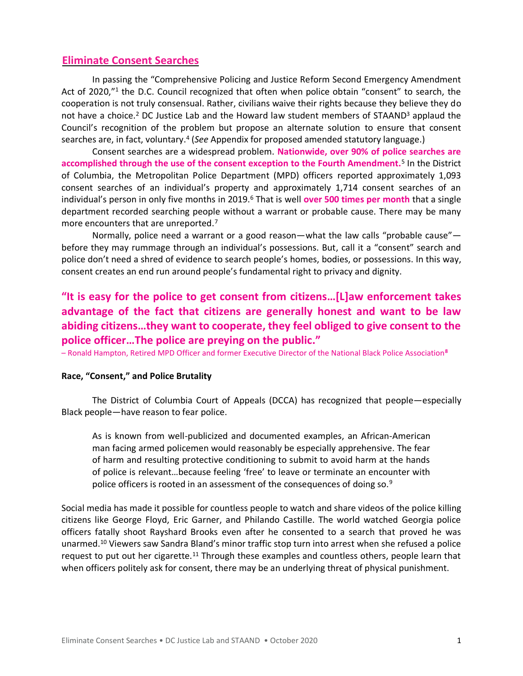### **Eliminate Consent Searches**

In passing the "Comprehensive Policing and Justice Reform Second Emergency Amendment Act of 2020,"<sup>1</sup> the D.C. Council recognized that often when police obtain "consent" to search, the cooperation is not truly consensual. Rather, civilians waive their rights because they believe they do not have a choice.<sup>2</sup> DC Justice Lab and the Howard law student members of STAAND<sup>3</sup> applaud the Council's recognition of the problem but propose an alternate solution to ensure that consent searches are, in fact, voluntary.<sup>4</sup> (See Appendix for proposed amended statutory language.)

Consent searches are a widespread problem. **Nationwide, over 90% of police searches are accomplished through the use of the consent exception to the Fourth Amendment.**<sup>5</sup> In the District of Columbia, the Metropolitan Police Department (MPD) officers reported approximately 1,093 consent searches of an individual's property and approximately 1,714 consent searches of an individual's person in only five months in 2019. <sup>6</sup> That is well **over 500 times per month** that a single department recorded searching people without a warrant or probable cause. There may be many more encounters that are unreported.<sup>7</sup>

Normally, police need a warrant or a good reason—what the law calls "probable cause" before they may rummage through an individual's possessions. But, call it a "consent" search and police don't need a shred of evidence to search people's homes, bodies, or possessions. In this way, consent creates an end run around people's fundamental right to privacy and dignity.

# **"It is easy for the police to get consent from citizens…[L]aw enforcement takes advantage of the fact that citizens are generally honest and want to be law abiding citizens…they want to cooperate, they feel obliged to give consent to the police officer…The police are preying on the public."**

– Ronald Hampton, Retired MPD Officer and former Executive Director of the National Black Police Association**<sup>8</sup>**

#### **Race, "Consent," and Police Brutality**

The District of Columbia Court of Appeals (DCCA) has recognized that people—especially Black people—have reason to fear police.

As is known from well-publicized and documented examples, an African-American man facing armed policemen would reasonably be especially apprehensive. The fear of harm and resulting protective conditioning to submit to avoid harm at the hands of police is relevant…because feeling 'free' to leave or terminate an encounter with police officers is rooted in an assessment of the consequences of doing so.<sup>9</sup>

Social media has made it possible for countless people to watch and share videos of the police killing citizens like George Floyd, Eric Garner, and Philando Castille. The world watched Georgia police officers fatally shoot Rayshard Brooks even after he consented to a search that proved he was unarmed.<sup>10</sup> Viewers saw Sandra Bland's minor traffic stop turn into arrest when she refused a police request to put out her cigarette.<sup>11</sup> Through these examples and countless others, people learn that when officers politely ask for consent, there may be an underlying threat of physical punishment.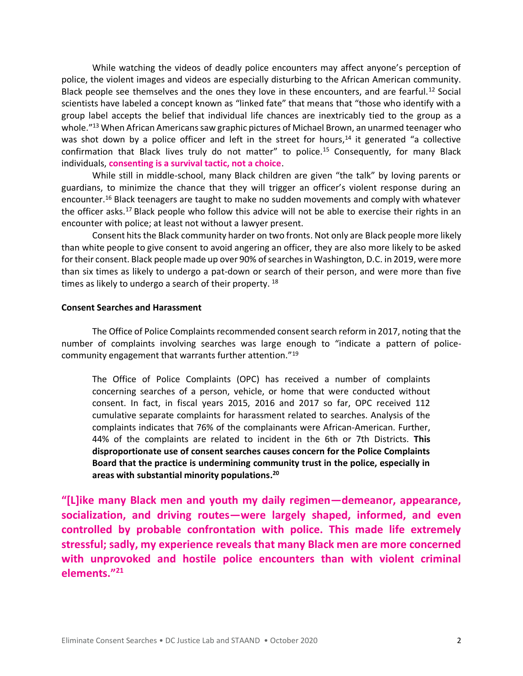While watching the videos of deadly police encounters may affect anyone's perception of police, the violent images and videos are especially disturbing to the African American community. Black people see themselves and the ones they love in these encounters, and are fearful.<sup>12</sup> Social scientists have labeled a concept known as "linked fate" that means that "those who identify with a group label accepts the belief that individual life chances are inextricably tied to the group as a whole."<sup>13</sup> When African Americans saw graphic pictures of Michael Brown, an unarmed teenager who was shot down by a police officer and left in the street for hours,<sup>14</sup> it generated "a collective confirmation that Black lives truly do not matter" to police.<sup>15</sup> Consequently, for many Black individuals, **consenting is a survival tactic, not a choice**.

While still in middle-school, many Black children are given "the talk" by loving parents or guardians, to minimize the chance that they will trigger an officer's violent response during an encounter.<sup>16</sup> Black teenagers are taught to make no sudden movements and comply with whatever the officer asks.<sup>17</sup> Black people who follow this advice will not be able to exercise their rights in an encounter with police; at least not without a lawyer present.

Consent hits the Black community harder on two fronts. Not only are Black people more likely than white people to give consent to avoid angering an officer, they are also more likely to be asked for their consent. Black people made up over 90% of searches in Washington, D.C. in 2019, were more than six times as likely to undergo a pat-down or search of their person, and were more than five times as likely to undergo a search of their property. <sup>18</sup>

#### **Consent Searches and Harassment**

The Office of Police Complaints recommended consent search reform in 2017, noting that the number of complaints involving searches was large enough to "indicate a pattern of policecommunity engagement that warrants further attention."<sup>19</sup>

The Office of Police Complaints (OPC) has received a number of complaints concerning searches of a person, vehicle, or home that were conducted without consent. In fact, in fiscal years 2015, 2016 and 2017 so far, OPC received 112 cumulative separate complaints for harassment related to searches. Analysis of the complaints indicates that 76% of the complainants were African-American. Further, 44% of the complaints are related to incident in the 6th or 7th Districts. **This disproportionate use of consent searches causes concern for the Police Complaints Board that the practice is undermining community trust in the police, especially in areas with substantial minority populations. 20**

**"[L]ike many Black men and youth my daily regimen—demeanor, appearance, socialization, and driving routes—were largely shaped, informed, and even controlled by probable confrontation with police. This made life extremely stressful; sadly, my experience reveals that many Black men are more concerned with unprovoked and hostile police encounters than with violent criminal elements." 21**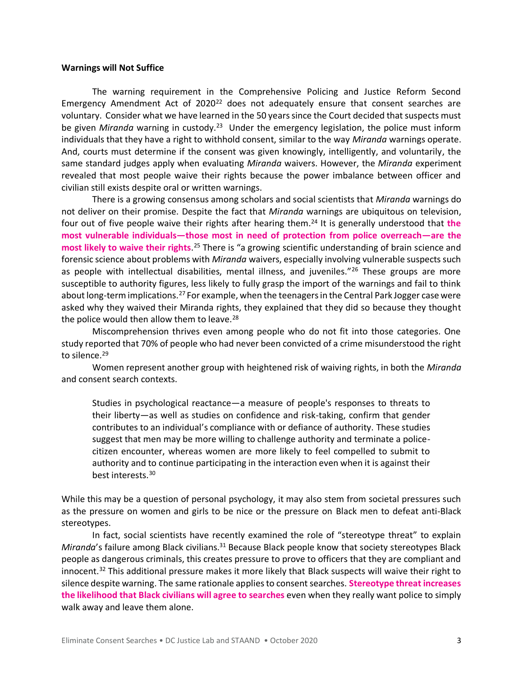#### **Warnings will Not Suffice**

The warning requirement in the Comprehensive Policing and Justice Reform Second Emergency Amendment Act of 2020<sup>22</sup> does not adequately ensure that consent searches are voluntary. Consider what we have learned in the 50 years since the Court decided that suspects must be given *Miranda* warning in custody.<sup>23</sup> Under the emergency legislation, the police must inform individuals that they have a right to withhold consent, similar to the way *Miranda* warnings operate. And, courts must determine if the consent was given knowingly, intelligently, and voluntarily, the same standard judges apply when evaluating *Miranda* waivers. However, the *Miranda* experiment revealed that most people waive their rights because the power imbalance between officer and civilian still exists despite oral or written warnings.

There is a growing consensus among scholars and social scientists that *Miranda* warnings do not deliver on their promise. Despite the fact that *Miranda* warnings are ubiquitous on television, four out of five people waive their rights after hearing them. <sup>24</sup> It is generally understood that **the most vulnerable individuals—those most in need of protection from police overreach—are the most likely to waive their rights**. <sup>25</sup> There is "a growing scientific understanding of brain science and forensic science about problems with *Miranda* waivers, especially involving vulnerable suspects such as people with intellectual disabilities, mental illness, and juveniles."<sup>26</sup> These groups are more susceptible to authority figures, less likely to fully grasp the import of the warnings and fail to think about long-term implications.<sup>27</sup> For example, when the teenagers in the Central Park Jogger case were asked why they waived their Miranda rights, they explained that they did so because they thought the police would then allow them to leave. $28$ 

Miscomprehension thrives even among people who do not fit into those categories. One study reported that 70% of people who had never been convicted of a crime misunderstood the right to silence.<sup>29</sup>

Women represent another group with heightened risk of waiving rights, in both the *Miranda* and consent search contexts.

Studies in psychological reactance—a measure of people's responses to threats to their liberty—as well as studies on confidence and risk-taking, confirm that gender contributes to an individual's compliance with or defiance of authority. These studies suggest that men may be more willing to challenge authority and terminate a policecitizen encounter, whereas women are more likely to feel compelled to submit to authority and to continue participating in the interaction even when it is against their best interests.<sup>30</sup>

While this may be a question of personal psychology, it may also stem from societal pressures such as the pressure on women and girls to be nice or the pressure on Black men to defeat anti-Black stereotypes.

In fact, social scientists have recently examined the role of "stereotype threat" to explain *Miranda*'s failure among Black civilians.<sup>31</sup> Because Black people know that society stereotypes Black people as dangerous criminals, this creates pressure to prove to officers that they are compliant and innocent.<sup>32</sup> This additional pressure makes it more likely that Black suspects will waive their right to silence despite warning. The same rationale applies to consent searches. **Stereotype threat increases the likelihood that Black civilians will agree to searches** even when they really want police to simply walk away and leave them alone.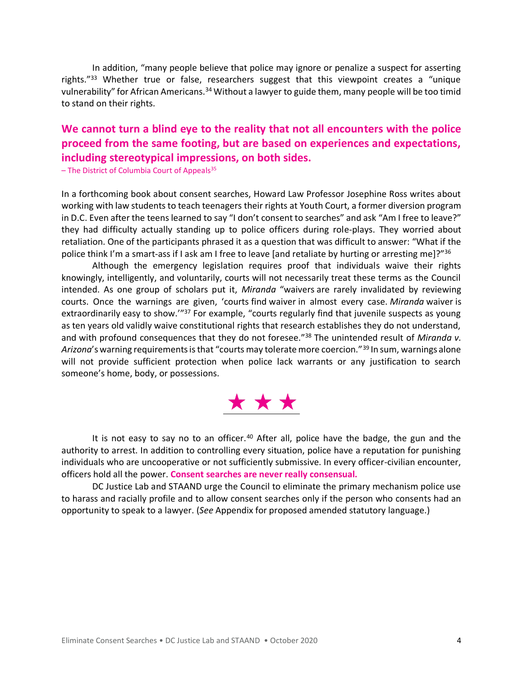In addition, "many people believe that police may ignore or penalize a suspect for asserting rights."<sup>33</sup> Whether true or false, researchers suggest that this viewpoint creates a "unique vulnerability" for African Americans.<sup>34</sup> Without a lawyer to guide them, many people will be too timid to stand on their rights.

# **We cannot turn a blind eye to the reality that not all encounters with the police proceed from the same footing, but are based on experiences and expectations, including stereotypical impressions, on both sides.**

 $-$  The District of Columbia Court of Appeals<sup>35</sup>

In a forthcoming book about consent searches, Howard Law Professor Josephine Ross writes about working with law students to teach teenagers their rights at Youth Court, a former diversion program in D.C. Even after the teens learned to say "I don't consent to searches" and ask "Am I free to leave?" they had difficulty actually standing up to police officers during role-plays. They worried about retaliation. One of the participants phrased it as a question that was difficult to answer: "What if the police think I'm a smart-ass if I ask am I free to leave [and retaliate by hurting or arresting me]?"<sup>36</sup>

Although the emergency legislation requires proof that individuals waive their rights knowingly, intelligently, and voluntarily, courts will not necessarily treat these terms as the Council intended. As one group of scholars put it, *Miranda* "waivers are rarely invalidated by reviewing courts. Once the warnings are given, 'courts find waiver in almost every case. *Miranda* waiver is extraordinarily easy to show.'"<sup>37</sup> For example, "courts regularly find that juvenile suspects as young as ten years old validly waive constitutional rights that research establishes they do not understand, and with profound consequences that they do not foresee.<sup>"38</sup> The unintended result of *Miranda v*. *Arizona*'s warning requirements is that "courts may tolerate more coercion."<sup>39</sup> In sum, warnings alone will not provide sufficient protection when police lack warrants or any justification to search someone's home, body, or possessions.



It is not easy to say no to an officer.<sup>40</sup> After all, police have the badge, the gun and the authority to arrest. In addition to controlling every situation, police have a reputation for punishing individuals who are uncooperative or not sufficiently submissive. In every officer-civilian encounter, officers hold all the power. **Consent searches are never really consensual.**

DC Justice Lab and STAAND urge the Council to eliminate the primary mechanism police use to harass and racially profile and to allow consent searches only if the person who consents had an opportunity to speak to a lawyer. (*See* Appendix for proposed amended statutory language.)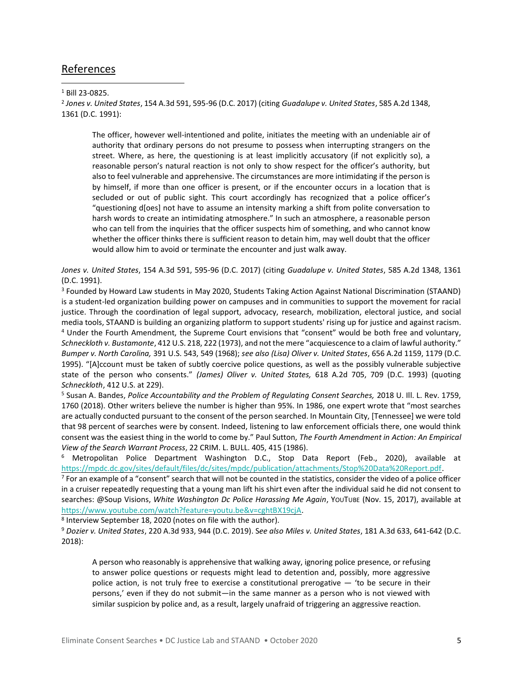## References

<sup>1</sup> Bill 23-0825.

2 *Jones v. United States*, 154 A.3d 591, 595-96 (D.C. 2017) (citing *Guadalupe v. United States*, 585 A.2d 1348, 1361 (D.C. 1991):

The officer, however well-intentioned and polite, initiates the meeting with an undeniable air of authority that ordinary persons do not presume to possess when interrupting strangers on the street. Where, as here, the questioning is at least implicitly accusatory (if not explicitly so), a reasonable person's natural reaction is not only to show respect for the officer's authority, but also to feel vulnerable and apprehensive. The circumstances are more intimidating if the person is by himself, if more than one officer is present, or if the encounter occurs in a location that is secluded or out of public sight. This court accordingly has recognized that a police officer's "questioning d[oes] not have to assume an intensity marking a shift from polite conversation to harsh words to create an intimidating atmosphere." In such an atmosphere, a reasonable person who can tell from the inquiries that the officer suspects him of something, and who cannot know whether the officer thinks there is sufficient reason to detain him, may well doubt that the officer would allow him to avoid or terminate the encounter and just walk away.

*Jones v. United States*, 154 A.3d 591, 595-96 (D.C. 2017) (citing *Guadalupe v. United States*, 585 A.2d 1348, 1361 (D.C. 1991).

<sup>3</sup> Founded by Howard Law students in May 2020, Students Taking Action Against National Discrimination (STAAND) is a student-led organization building power on campuses and in communities to support the movement for racial justice. Through the coordination of legal support, advocacy, research, mobilization, electoral justice, and social media tools, STAAND is building an organizing platform to support students' rising up for justice and against racism. <sup>4</sup> Under the Fourth Amendment, the Supreme Court envisions that "consent" would be both free and voluntary, *Schneckloth v. Bustamonte*, 412 U.S. 218, 222 (1973), and notthe mere "acquiescence to a claim of lawful authority." *Bumper v. North Carolina,* 391 U.S. 543, 549 (1968); *see also (Lisa) Oliver v. United States*, 656 A.2d 1159, 1179 (D.C. 1995). "[A]ccount must be taken of subtly coercive police questions, as well as the possibly vulnerable subjective state of the person who consents." *(James) Oliver v. United States,* 618 A.2d 705, 709 (D.C. 1993) (quoting *Schneckloth*, 412 U.S. at 229).

<sup>5</sup> Susan A. Bandes, *Police Accountability and the Problem of Regulating Consent Searches,* 2018 U. Ill. L. Rev. 1759, 1760 (2018). Other writers believe the number is higher than 95%. In 1986, one expert wrote that "most searches are actually conducted pursuant to the consent of the person searched. In Mountain City, [Tennessee] we were told that 98 percent of searches were by consent. Indeed, listening to law enforcement officials there, one would think consent was the easiest thing in the world to come by." Paul Sutton, *The Fourth Amendment in Action: An Empirical View of the Search Warrant Process*, 22 CRIM. L. BULL. 405, 415 (1986).

<sup>6</sup> Metropolitan Police Department Washington D.C., Stop Data Report (Feb., 2020), available at [https://mpdc.dc.gov/sites/default/files/dc/sites/mpdc/publication/attachments/Stop%20Data%20Report.pdf.](https://mpdc.dc.gov/sites/default/files/dc/sites/mpdc/publication/attachments/Stop%20Data%20Report.pdf)

 $7$  For an example of a "consent" search that will not be counted in the statistics, consider the video of a police officer in a cruiser repeatedly requesting that a young man lift his shirt even after the individual said he did not consent to searches: @Soup Visions, *White Washington Dc Police Harassing Me Again*, YOUTUBE (Nov. 15, 2017), available at [https://www.youtube.com/watch?feature=youtu.be&v=cghtBX19cjA.](https://www.youtube.com/watch?feature=youtu.be&v=cghtBX19cjA)

8 Interview September 18, 2020 (notes on file with the author)*.*

<sup>9</sup> *Dozier v. United States*, 220 A.3d 933, 944 (D.C. 2019). S*ee also Miles v. United States*, 181 A.3d 633, 641-642 (D.C. 2018):

A person who reasonably is apprehensive that walking away, ignoring police presence, or refusing to answer police questions or requests might lead to detention and, possibly, more aggressive police action, is not truly free to exercise a constitutional prerogative — 'to be secure in their persons,' even if they do not submit—in the same manner as a person who is not viewed with similar suspicion by police and, as a result, largely unafraid of triggering an aggressive reaction.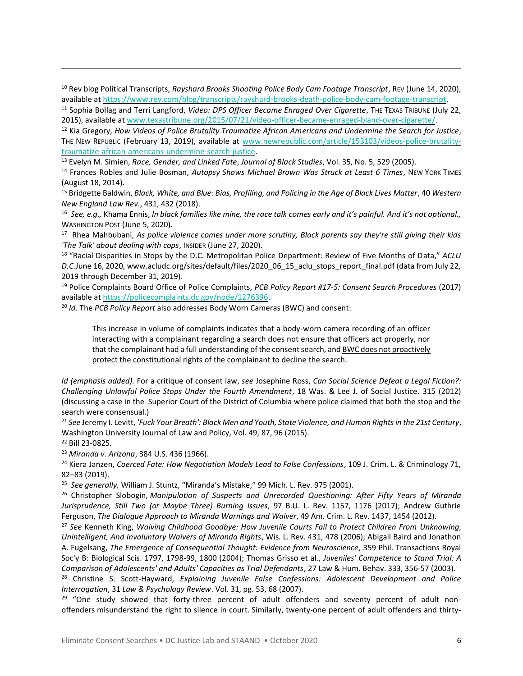<sup>10</sup> Rev blog Political Transcripts, *Rayshard Brooks Shooting Police Body Cam Footage Transcript*, REV (June 14, 2020), available a[t https://www.rev.com/blog/transcripts/rayshard-brooks-death-police-body-cam-footage-transcript.](https://www.rev.com/blog/transcripts/rayshard-brooks-death-police-body-cam-footage-transcript) 

<sup>12</sup> Kia Gregory, *How Videos of Police Brutality Traumatize African Americans and Undermine the Search for Justice*, THE NEW REPUBLIC (February 13, 2019), available at [www.newrepublic.com/article/153103/videos-police-brutality](http://www.newrepublic.com/article/153103/videos-police-brutality-traumatize-african-americans-undermine-search-justice)[traumatize-african-americans-undermine-search-justice.](http://www.newrepublic.com/article/153103/videos-police-brutality-traumatize-african-americans-undermine-search-justice)

<sup>13</sup> Evelyn M. Simien, *Race, Gender, and Linked Fate*, *Journal of Black Studies*, Vol. 35, No. 5, 529 (2005).

<sup>14</sup> Frances Robles and Julie Bosman, *Autopsy Shows Michael Brown Was Struck at Least 6 Times*, NEW YORK TIMES (August 18, 2014).

<sup>15</sup> Bridgette Baldwin, *Black, White, and Blue: Bias, Profiling, and Policing in the Age of Black Lives Matter*, 40 *Western New England Law Rev.*, 431, 432 (2018).

16 *See, e.g.,* Khama Ennis, *In black families like mine, the race talk comes early and it's painful. And it's not optional.,*  WASHINGTON POST (June 5, 2020).

17 Rhea Mahbubani, *As police violence comes under more scrutiny, Black parents say they're still giving their kids 'The Talk' about dealing with cops*, INSIDER (June 27, 2020).

<sup>18</sup> "Racial Disparities in Stops by the D.C. Metropolitan Police Department: Review of Five Months of Data," *ACLU D.C.*June 16, 2020, www.acludc.org/sites/default/files/2020\_06\_15\_aclu\_stops\_report\_final.pdf (data from July 22, 2019 through December 31, 2019).

<sup>19</sup> Police Complaints Board Office of Police Complaints, *PCB Policy Report #17-5: Consent Search Procedures* (2017) available at [https://policecomplaints.dc.gov/node/1276396.](https://policecomplaints.dc.gov/node/1276396)

<sup>20</sup> *Id*. The *PCB Policy Report* also addresses Body Worn Cameras (BWC) and consent:

This increase in volume of complaints indicates that a body-worn camera recording of an officer interacting with a complainant regarding a search does not ensure that officers act properly, nor that the complainant had a full understanding of the consent search, and BWC does not proactively protect the constitutional rights of the complainant to decline the search.

*Id (emphasis added).* For a critique of consent law, *see* Josephine Ross, *Can Social Science Defeat a Legal Fiction?: Challenging Unlawful Police Stops Under the Fourth Amendment*, 18 Was. & Lee J. of Social Justice. 315 (2012) (discussing a case in the Superior Court of the District of Columbia where police claimed that both the stop and the search were consensual.)

<sup>21</sup> *See* Jeremy I. Levitt, *'Fuck Your Breath': Black Men and Youth, State Violence, and Human Rights in the 21st Century*, Washington University Journal of Law and Policy, Vol. 49, 87, 96 (2015).

<sup>22</sup> Bill 23-0825.

<sup>23</sup> *Miranda v. Arizona*, 384 U.S. 436 (1966).

<sup>24</sup> Kiera Janzen, *Coerced Fate: How Negotiation Models Lead to False Confessions*, 109 J. Crim. L. & Criminology 71, 82–83 (2019).

25 *See generally,* William J. Stuntz, "Miranda's Mistake," 99 Mich. L. Rev. 975 (2001).

<sup>26</sup> Christopher Slobogin, *Manipulation of Suspects and Unrecorded Questioning: After Fifty Years of Miranda Jurisprudence, Still Two (or Maybe Three) Burning Issues*, 97 B.U. L. Rev. 1157, 1176 (2017); Andrew Guthrie Ferguson, *The Dialogue Approach to Miranda Warnings and Waiver*, 49 Am. Crim. L. Rev. 1437, 1454 (2012).

<sup>27</sup> *See* Kenneth King, *Waiving Childhood Goodbye: How Juvenile Courts Fail to Protect Children From Unknowing, Unintelligent, And Involuntary Waivers of Miranda Rights*, Wis. L. Rev. 431, 478 (2006); Abigail Baird and Jonathon A. Fugelsang, *The Emergence of Consequential Thought: Evidence from Neuroscience*, 359 Phil. Transactions Royal Soc'y B: Biological Scis. 1797, 1798-99, 1800 (2004); Thomas Grisso et al., *Juveniles' Competence to Stand Trial: A Comparison of Adolescents' and Adults' Capacities as Trial Defendants*, 27 Law & Hum. Behav. 333, 356-57 (2003).

<sup>28</sup> Christine S. Scott-Hayward, *Explaining Juvenile False Confessions: Adolescent Development and Police Interrogation*, 31 *Law & Psychology Review*. Vol. 31, pg. 53, 68 (2007).

 $29$  "One study showed that forty-three percent of adult offenders and seventy percent of adult nonoffenders misunderstand the right to silence in court. Similarly, twenty-one percent of adult offenders and thirty-

<sup>11</sup> Sophia Bollag and Terri Langford, *Video: DPS Officer Became Enraged Over Cigarette*, THE TEXAS TRIBUNE (July 22, 2015), available a[t www.texastribune.org/2015/07/21/video-officer-became-enraged-bland-over-cigarette/.](http://www.texastribune.org/2015/07/21/video-officer-became-enraged-bland-over-cigarette/)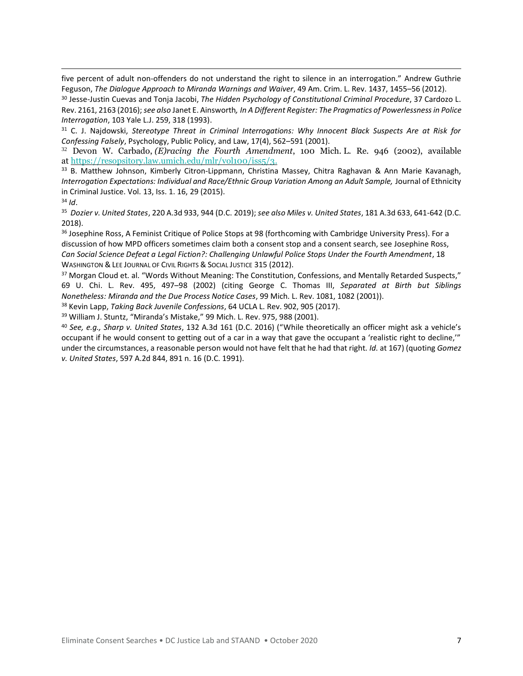five percent of adult non-offenders do not understand the right to silence in an interrogation." Andrew Guthrie Feguson, *The Dialogue Approach to Miranda Warnings and Waiver*, 49 Am. Crim. L. Rev. 1437, 1455–56 (2012).

<sup>30</sup> Jesse-Justin Cuevas and Tonja Jacobi, *The Hidden Psychology of Constitutional Criminal Procedure*, 37 Cardozo L. Rev. 2161, 2163 (2016); *see also* Janet E. Ainsworth*, In A Different Register: The Pragmatics of Powerlessnessin Police Interrogation*, 103 Yale L.J. 259, 318 (1993).

<sup>31</sup> C. J. Najdowski, *Stereotype Threat in Criminal Interrogations: Why Innocent Black Suspects Are at Risk for Confessing Falsely*, Psychology, Public Policy, and Law, 17(4), 562–591 (2001).

<sup>32</sup> Devon W. Carbado, *(E)racing the Fourth Amendment*, 100 Mich. L. Re. 946 (2002), available at [https://resopsitory.law.umich.edu/mlr/vol100/iss5/3.](https://resopsitory.law.umich.edu/mlr/vol100/iss5/3)

<sup>33</sup> B. Matthew Johnson, Kimberly Citron-Lippmann, Christina Massey, Chitra Raghavan & Ann Marie Kavanagh, *Interrogation Expectations: Individual and Race/Ethnic Group Variation Among an Adult Sample,* Journal of Ethnicity in Criminal Justice. Vol. 13, Iss. 1. 16, 29 (2015).

<sup>34</sup> *Id*.

35 *Dozier v. United States*, 220 A.3d 933, 944 (D.C. 2019); *see also Miles v. United States*, 181 A.3d 633, 641-642 (D.C. 2018).

<sup>36</sup> Josephine Ross, A Feminist Critique of Police Stops at 98 (forthcoming with Cambridge University Press). For a discussion of how MPD officers sometimes claim both a consent stop and a consent search, see Josephine Ross, *Can Social Science Defeat a Legal Fiction?: Challenging Unlawful Police Stops Under the Fourth Amendment*, 18 WASHINGTON & LEE JOURNAL OF CIVIL RIGHTS & SOCIAL JUSTICE 315 (2012).

<sup>37</sup> Morgan Cloud et. al. "Words Without Meaning: The Constitution, Confessions, and Mentally Retarded Suspects," 69 U. Chi. L. Rev. 495, 497–98 (2002) (citing George C. Thomas III, *Separated at Birth but Siblings Nonetheless: Miranda and the Due Process Notice Cases*, 99 Mich. L. Rev. 1081, 1082 (2001)).

<sup>38</sup> Kevin Lapp, *Taking Back Juvenile Confessions*, 64 UCLA L. Rev. 902, 905 (2017).

<sup>39</sup> William J. Stuntz, "Miranda's Mistake," 99 Mich. L. Rev. 975, 988 (2001).

<sup>40</sup> *See, e.g., Sharp v. United States*, 132 A.3d 161 (D.C. 2016) ("While theoretically an officer might ask a vehicle's occupant if he would consent to getting out of a car in a way that gave the occupant a 'realistic right to decline,'" under the circumstances, a reasonable person would not have felt that he had that right. *Id.* at 167) (quoting *Gomez v. United States*, 597 A.2d 844, 891 n. 16 (D.C. 1991).